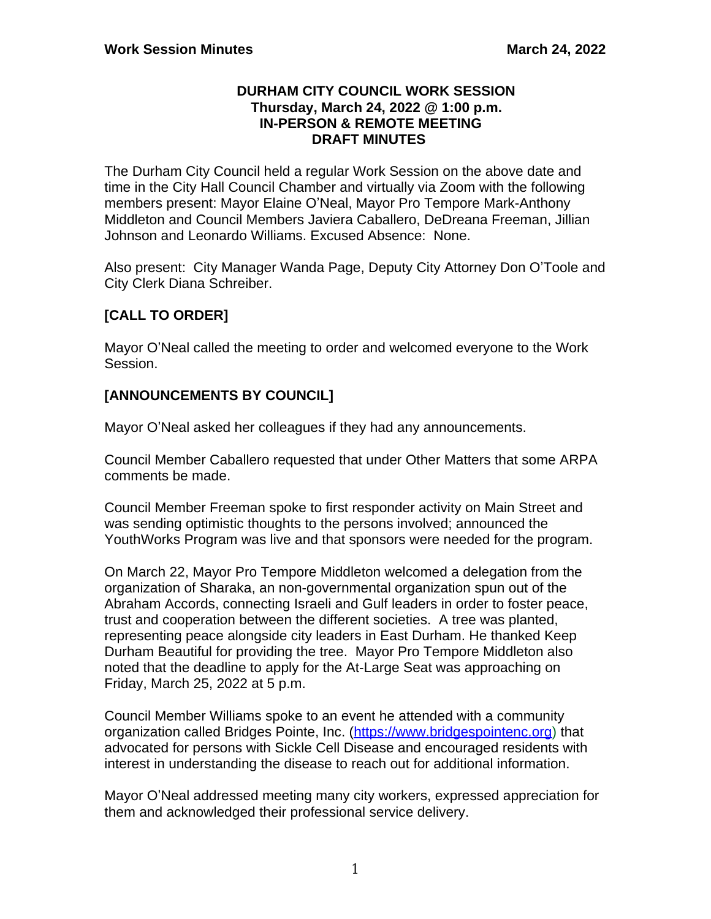#### **DURHAM CITY COUNCIL WORK SESSION Thursday, March 24, 2022 @ 1:00 p.m. IN-PERSON & REMOTE MEETING DRAFT MINUTES**

The Durham City Council held a regular Work Session on the above date and time in the City Hall Council Chamber and virtually via Zoom with the following members present: Mayor Elaine O'Neal, Mayor Pro Tempore Mark-Anthony Middleton and Council Members Javiera Caballero, DeDreana Freeman, Jillian Johnson and Leonardo Williams. Excused Absence: None.

Also present: City Manager Wanda Page, Deputy City Attorney Don O'Toole and City Clerk Diana Schreiber.

# **[CALL TO ORDER]**

Mayor O'Neal called the meeting to order and welcomed everyone to the Work Session.

## **[ANNOUNCEMENTS BY COUNCIL]**

Mayor O'Neal asked her colleagues if they had any announcements.

Council Member Caballero requested that under Other Matters that some ARPA comments be made.

Council Member Freeman spoke to first responder activity on Main Street and was sending optimistic thoughts to the persons involved; announced the YouthWorks Program was live and that sponsors were needed for the program.

On March 22, Mayor Pro Tempore Middleton welcomed a delegation from the organization of Sharaka, an non-governmental organization spun out of the Abraham Accords, connecting Israeli and Gulf leaders in order to foster peace, trust and cooperation between the different societies. A tree was planted, representing peace alongside city leaders in East Durham. He thanked Keep Durham Beautiful for providing the tree. Mayor Pro Tempore Middleton also noted that the deadline to apply for the At-Large Seat was approaching on Friday, March 25, 2022 at 5 p.m.

Council Member Williams spoke to an event he attended with a community organization called Bridges Pointe, Inc. ([https://www.bridgespointenc.org\)](https://www.bridgespointenc.org) that advocated for persons with Sickle Cell Disease and encouraged residents with interest in understanding the disease to reach out for additional information.

Mayor O'Neal addressed meeting many city workers, expressed appreciation for them and acknowledged their professional service delivery.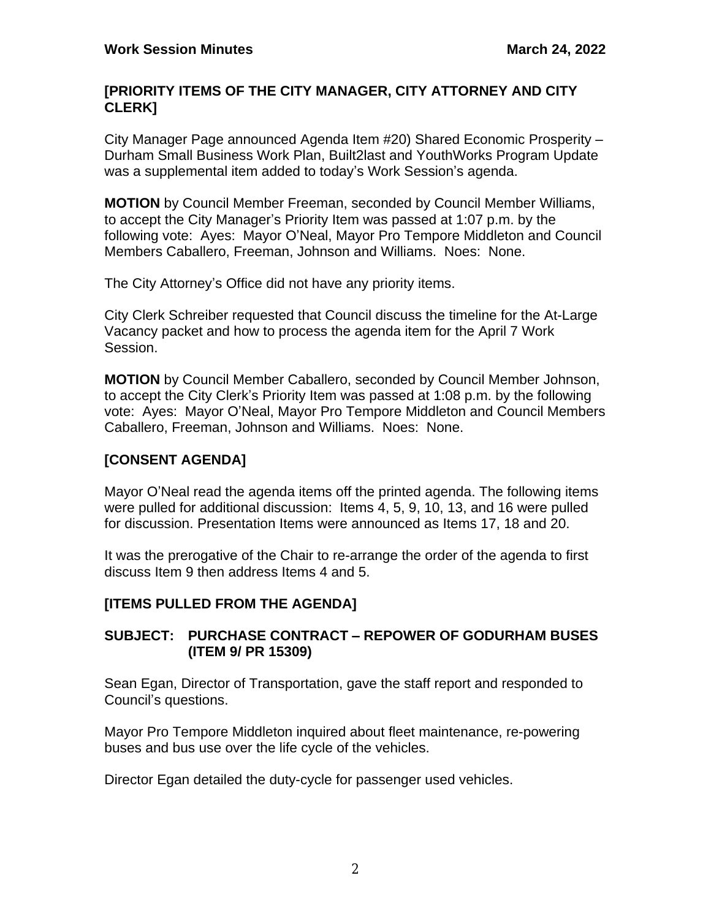## **[PRIORITY ITEMS OF THE CITY MANAGER, CITY ATTORNEY AND CITY CLERK]**

City Manager Page announced Agenda Item #20) Shared Economic Prosperity – Durham Small Business Work Plan, Built2last and YouthWorks Program Update was a supplemental item added to today's Work Session's agenda.

**MOTION** by Council Member Freeman, seconded by Council Member Williams, to accept the City Manager's Priority Item was passed at 1:07 p.m. by the following vote: Ayes: Mayor O'Neal, Mayor Pro Tempore Middleton and Council Members Caballero, Freeman, Johnson and Williams. Noes: None.

The City Attorney's Office did not have any priority items.

City Clerk Schreiber requested that Council discuss the timeline for the At-Large Vacancy packet and how to process the agenda item for the April 7 Work Session.

**MOTION** by Council Member Caballero, seconded by Council Member Johnson, to accept the City Clerk's Priority Item was passed at 1:08 p.m. by the following vote: Ayes: Mayor O'Neal, Mayor Pro Tempore Middleton and Council Members Caballero, Freeman, Johnson and Williams. Noes: None.

# **[CONSENT AGENDA]**

Mayor O'Neal read the agenda items off the printed agenda. The following items were pulled for additional discussion: Items 4, 5, 9, 10, 13, and 16 were pulled for discussion. Presentation Items were announced as Items 17, 18 and 20.

It was the prerogative of the Chair to re-arrange the order of the agenda to first discuss Item 9 then address Items 4 and 5.

# **[ITEMS PULLED FROM THE AGENDA]**

## **SUBJECT: PURCHASE CONTRACT – REPOWER OF GODURHAM BUSES (ITEM 9/ PR 15309)**

Sean Egan, Director of Transportation, gave the staff report and responded to Council's questions.

Mayor Pro Tempore Middleton inquired about fleet maintenance, re-powering buses and bus use over the life cycle of the vehicles.

Director Egan detailed the duty-cycle for passenger used vehicles.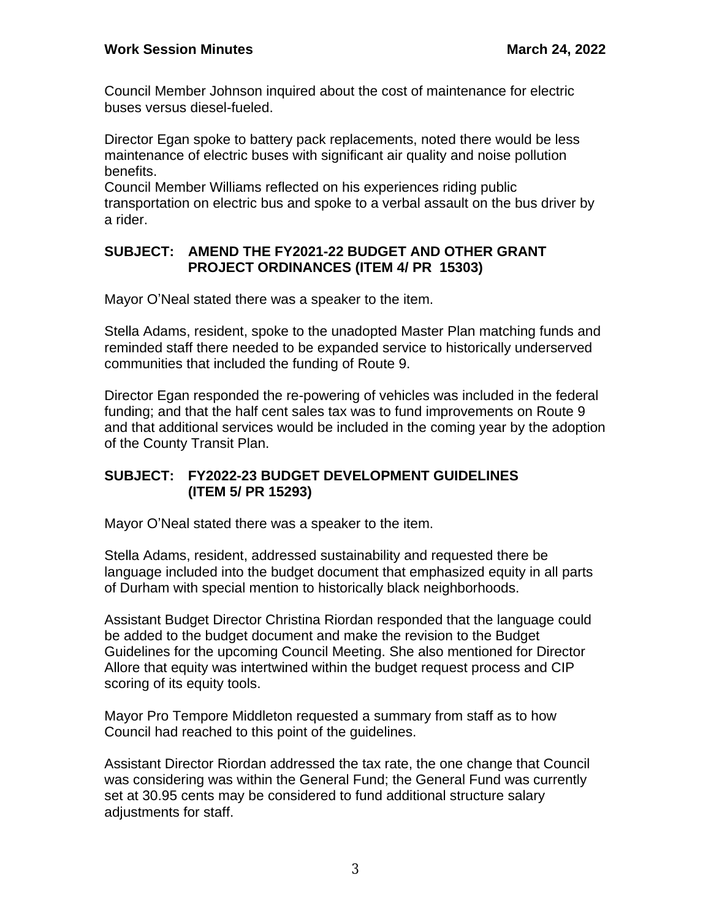Council Member Johnson inquired about the cost of maintenance for electric buses versus diesel-fueled.

Director Egan spoke to battery pack replacements, noted there would be less maintenance of electric buses with significant air quality and noise pollution benefits.

Council Member Williams reflected on his experiences riding public transportation on electric bus and spoke to a verbal assault on the bus driver by a rider.

## **SUBJECT: AMEND THE FY2021-22 BUDGET AND OTHER GRANT PROJECT ORDINANCES (ITEM 4/ PR 15303)**

Mayor O'Neal stated there was a speaker to the item.

Stella Adams, resident, spoke to the unadopted Master Plan matching funds and reminded staff there needed to be expanded service to historically underserved communities that included the funding of Route 9.

Director Egan responded the re-powering of vehicles was included in the federal funding; and that the half cent sales tax was to fund improvements on Route 9 and that additional services would be included in the coming year by the adoption of the County Transit Plan.

## **SUBJECT: FY2022-23 BUDGET DEVELOPMENT GUIDELINES (ITEM 5/ PR 15293)**

Mayor O'Neal stated there was a speaker to the item.

Stella Adams, resident, addressed sustainability and requested there be language included into the budget document that emphasized equity in all parts of Durham with special mention to historically black neighborhoods.

Assistant Budget Director Christina Riordan responded that the language could be added to the budget document and make the revision to the Budget Guidelines for the upcoming Council Meeting. She also mentioned for Director Allore that equity was intertwined within the budget request process and CIP scoring of its equity tools.

Mayor Pro Tempore Middleton requested a summary from staff as to how Council had reached to this point of the guidelines.

Assistant Director Riordan addressed the tax rate, the one change that Council was considering was within the General Fund; the General Fund was currently set at 30.95 cents may be considered to fund additional structure salary adiustments for staff.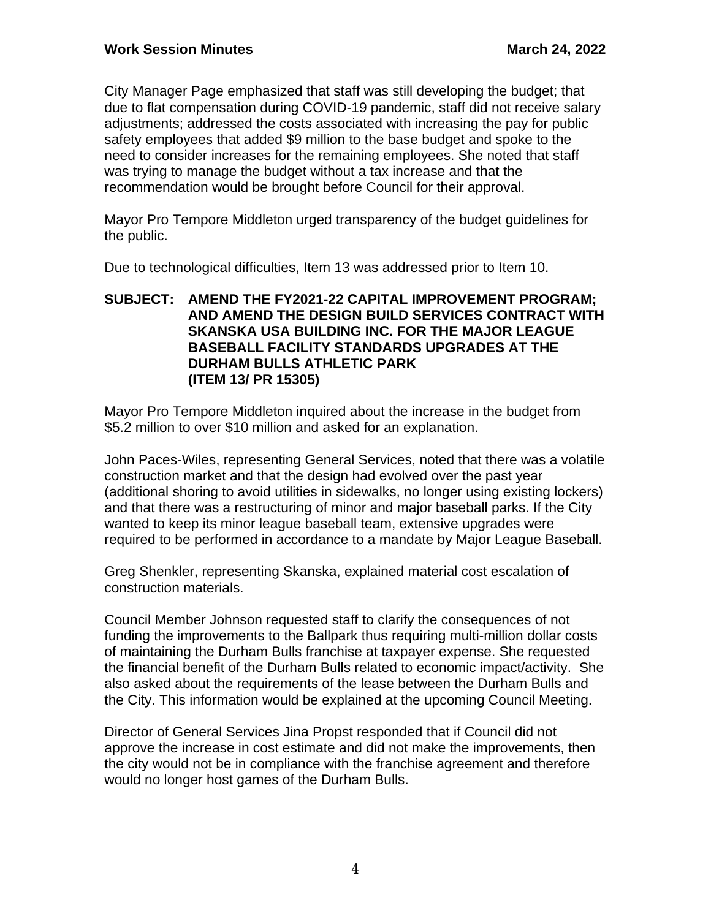City Manager Page emphasized that staff was still developing the budget; that due to flat compensation during COVID-19 pandemic, staff did not receive salary adjustments; addressed the costs associated with increasing the pay for public safety employees that added \$9 million to the base budget and spoke to the need to consider increases for the remaining employees. She noted that staff was trying to manage the budget without a tax increase and that the recommendation would be brought before Council for their approval.

Mayor Pro Tempore Middleton urged transparency of the budget guidelines for the public.

Due to technological difficulties, Item 13 was addressed prior to Item 10.

#### **SUBJECT: AMEND THE FY2021-22 CAPITAL IMPROVEMENT PROGRAM; AND AMEND THE DESIGN BUILD SERVICES CONTRACT WITH SKANSKA USA BUILDING INC. FOR THE MAJOR LEAGUE BASEBALL FACILITY STANDARDS UPGRADES AT THE DURHAM BULLS ATHLETIC PARK (ITEM 13/ PR 15305)**

Mayor Pro Tempore Middleton inquired about the increase in the budget from \$5.2 million to over \$10 million and asked for an explanation.

John Paces-Wiles, representing General Services, noted that there was a volatile construction market and that the design had evolved over the past year (additional shoring to avoid utilities in sidewalks, no longer using existing lockers) and that there was a restructuring of minor and major baseball parks. If the City wanted to keep its minor league baseball team, extensive upgrades were required to be performed in accordance to a mandate by Major League Baseball.

Greg Shenkler, representing Skanska, explained material cost escalation of construction materials.

Council Member Johnson requested staff to clarify the consequences of not funding the improvements to the Ballpark thus requiring multi-million dollar costs of maintaining the Durham Bulls franchise at taxpayer expense. She requested the financial benefit of the Durham Bulls related to economic impact/activity. She also asked about the requirements of the lease between the Durham Bulls and the City. This information would be explained at the upcoming Council Meeting.

Director of General Services Jina Propst responded that if Council did not approve the increase in cost estimate and did not make the improvements, then the city would not be in compliance with the franchise agreement and therefore would no longer host games of the Durham Bulls.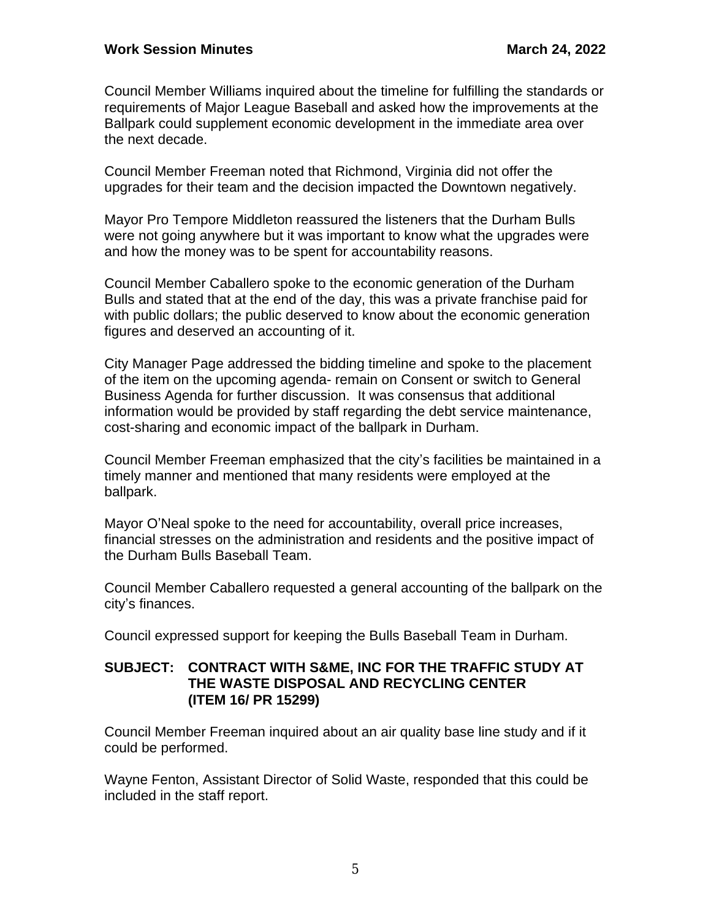Council Member Williams inquired about the timeline for fulfilling the standards or requirements of Major League Baseball and asked how the improvements at the Ballpark could supplement economic development in the immediate area over the next decade.

Council Member Freeman noted that Richmond, Virginia did not offer the upgrades for their team and the decision impacted the Downtown negatively.

Mayor Pro Tempore Middleton reassured the listeners that the Durham Bulls were not going anywhere but it was important to know what the upgrades were and how the money was to be spent for accountability reasons.

Council Member Caballero spoke to the economic generation of the Durham Bulls and stated that at the end of the day, this was a private franchise paid for with public dollars; the public deserved to know about the economic generation figures and deserved an accounting of it.

City Manager Page addressed the bidding timeline and spoke to the placement of the item on the upcoming agenda- remain on Consent or switch to General Business Agenda for further discussion. It was consensus that additional information would be provided by staff regarding the debt service maintenance, cost-sharing and economic impact of the ballpark in Durham.

Council Member Freeman emphasized that the city's facilities be maintained in a timely manner and mentioned that many residents were employed at the ballpark.

Mayor O'Neal spoke to the need for accountability, overall price increases, financial stresses on the administration and residents and the positive impact of the Durham Bulls Baseball Team.

Council Member Caballero requested a general accounting of the ballpark on the city's finances.

Council expressed support for keeping the Bulls Baseball Team in Durham.

#### **SUBJECT: CONTRACT WITH S&ME, INC FOR THE TRAFFIC STUDY AT THE WASTE DISPOSAL AND RECYCLING CENTER (ITEM 16/ PR 15299)**

Council Member Freeman inquired about an air quality base line study and if it could be performed.

Wayne Fenton, Assistant Director of Solid Waste, responded that this could be included in the staff report.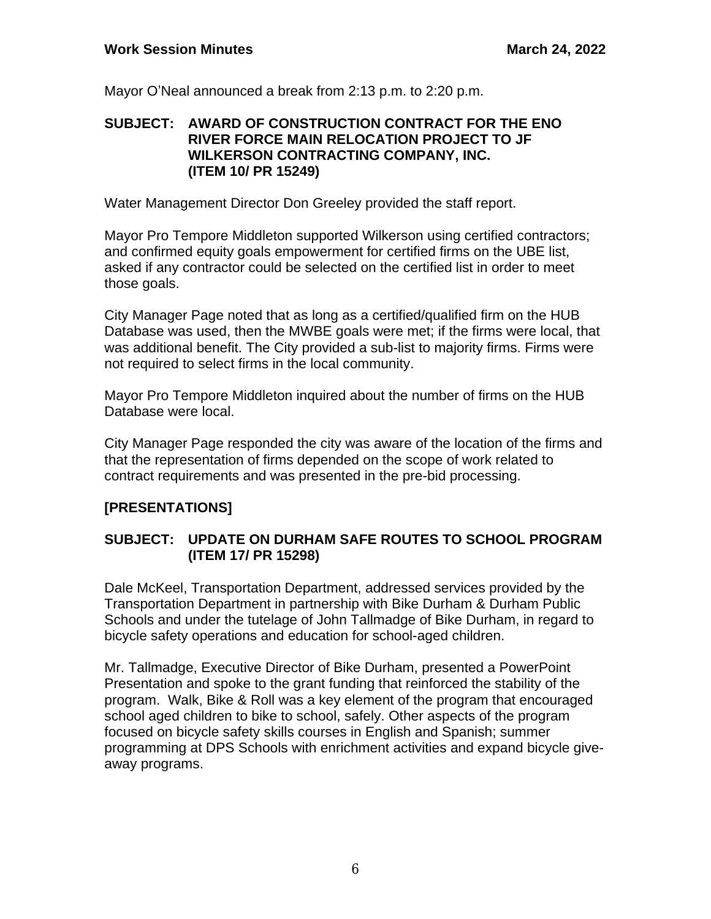Mayor O'Neal announced a break from 2:13 p.m. to 2:20 p.m.

#### **SUBJECT: AWARD OF CONSTRUCTION CONTRACT FOR THE ENO RIVER FORCE MAIN RELOCATION PROJECT TO JF WILKERSON CONTRACTING COMPANY, INC. (ITEM 10/ PR 15249)**

Water Management Director Don Greeley provided the staff report.

Mayor Pro Tempore Middleton supported Wilkerson using certified contractors; and confirmed equity goals empowerment for certified firms on the UBE list, asked if any contractor could be selected on the certified list in order to meet those goals.

City Manager Page noted that as long as a certified/qualified firm on the HUB Database was used, then the MWBE goals were met; if the firms were local, that was additional benefit. The City provided a sub-list to majority firms. Firms were not required to select firms in the local community.

Mayor Pro Tempore Middleton inquired about the number of firms on the HUB Database were local.

City Manager Page responded the city was aware of the location of the firms and that the representation of firms depended on the scope of work related to contract requirements and was presented in the pre-bid processing.

# **[PRESENTATIONS]**

## **SUBJECT: UPDATE ON DURHAM SAFE ROUTES TO SCHOOL PROGRAM (ITEM 17/ PR 15298)**

Dale McKeel, Transportation Department, addressed services provided by the Transportation Department in partnership with Bike Durham & Durham Public Schools and under the tutelage of John Tallmadge of Bike Durham, in regard to bicycle safety operations and education for school-aged children.

Mr. Tallmadge, Executive Director of Bike Durham, presented a PowerPoint Presentation and spoke to the grant funding that reinforced the stability of the program. Walk, Bike & Roll was a key element of the program that encouraged school aged children to bike to school, safely. Other aspects of the program focused on bicycle safety skills courses in English and Spanish; summer programming at DPS Schools with enrichment activities and expand bicycle giveaway programs.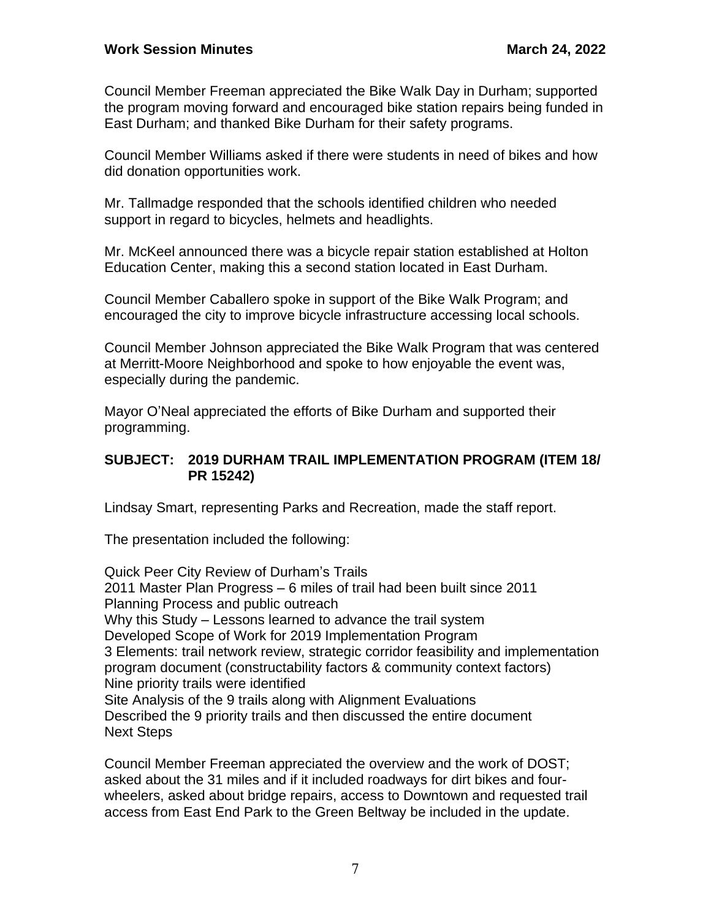Council Member Freeman appreciated the Bike Walk Day in Durham; supported the program moving forward and encouraged bike station repairs being funded in East Durham; and thanked Bike Durham for their safety programs.

Council Member Williams asked if there were students in need of bikes and how did donation opportunities work.

Mr. Tallmadge responded that the schools identified children who needed support in regard to bicycles, helmets and headlights.

Mr. McKeel announced there was a bicycle repair station established at Holton Education Center, making this a second station located in East Durham.

Council Member Caballero spoke in support of the Bike Walk Program; and encouraged the city to improve bicycle infrastructure accessing local schools.

Council Member Johnson appreciated the Bike Walk Program that was centered at Merritt-Moore Neighborhood and spoke to how enjoyable the event was, especially during the pandemic.

Mayor O'Neal appreciated the efforts of Bike Durham and supported their programming.

## **SUBJECT: 2019 DURHAM TRAIL IMPLEMENTATION PROGRAM (ITEM 18/ PR 15242)**

Lindsay Smart, representing Parks and Recreation, made the staff report.

The presentation included the following:

Quick Peer City Review of Durham's Trails 2011 Master Plan Progress – 6 miles of trail had been built since 2011 Planning Process and public outreach Why this Study – Lessons learned to advance the trail system Developed Scope of Work for 2019 Implementation Program 3 Elements: trail network review, strategic corridor feasibility and implementation program document (constructability factors & community context factors) Nine priority trails were identified Site Analysis of the 9 trails along with Alignment Evaluations Described the 9 priority trails and then discussed the entire document Next Steps

Council Member Freeman appreciated the overview and the work of DOST; asked about the 31 miles and if it included roadways for dirt bikes and fourwheelers, asked about bridge repairs, access to Downtown and requested trail access from East End Park to the Green Beltway be included in the update.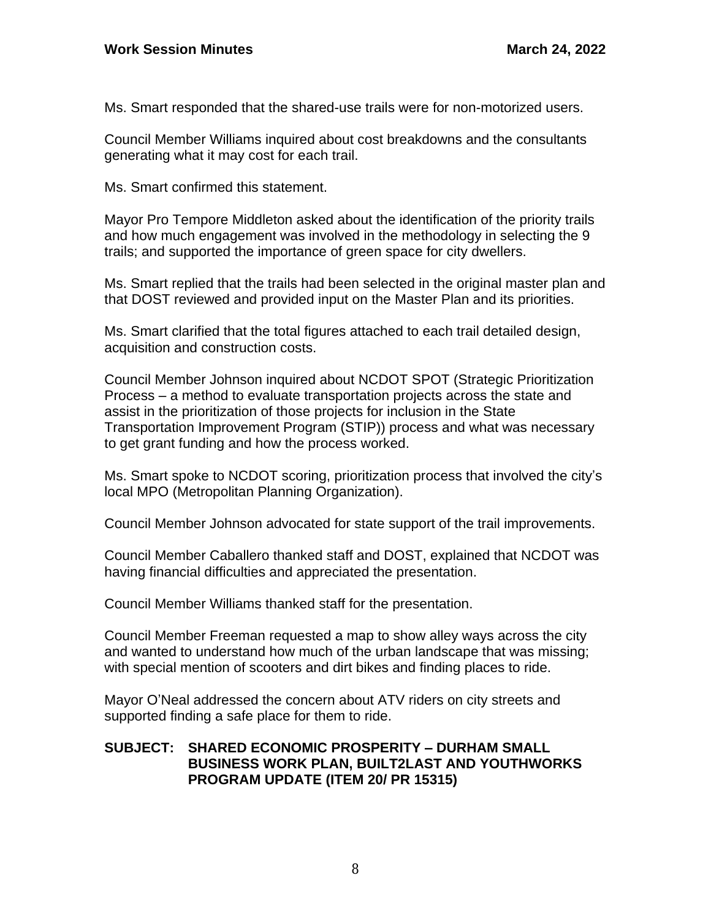Ms. Smart responded that the shared-use trails were for non-motorized users.

Council Member Williams inquired about cost breakdowns and the consultants generating what it may cost for each trail.

Ms. Smart confirmed this statement.

Mayor Pro Tempore Middleton asked about the identification of the priority trails and how much engagement was involved in the methodology in selecting the 9 trails; and supported the importance of green space for city dwellers.

Ms. Smart replied that the trails had been selected in the original master plan and that DOST reviewed and provided input on the Master Plan and its priorities.

Ms. Smart clarified that the total figures attached to each trail detailed design, acquisition and construction costs.

Council Member Johnson inquired about NCDOT SPOT (Strategic Prioritization Process – a method to evaluate transportation projects across the state and assist in the prioritization of those projects for inclusion in the State Transportation Improvement Program (STIP)) process and what was necessary to get grant funding and how the process worked.

Ms. Smart spoke to NCDOT scoring, prioritization process that involved the city's local MPO (Metropolitan Planning Organization).

Council Member Johnson advocated for state support of the trail improvements.

Council Member Caballero thanked staff and DOST, explained that NCDOT was having financial difficulties and appreciated the presentation.

Council Member Williams thanked staff for the presentation.

Council Member Freeman requested a map to show alley ways across the city and wanted to understand how much of the urban landscape that was missing; with special mention of scooters and dirt bikes and finding places to ride.

Mayor O'Neal addressed the concern about ATV riders on city streets and supported finding a safe place for them to ride.

#### **SUBJECT: SHARED ECONOMIC PROSPERITY – DURHAM SMALL BUSINESS WORK PLAN, BUILT2LAST AND YOUTHWORKS PROGRAM UPDATE (ITEM 20/ PR 15315)**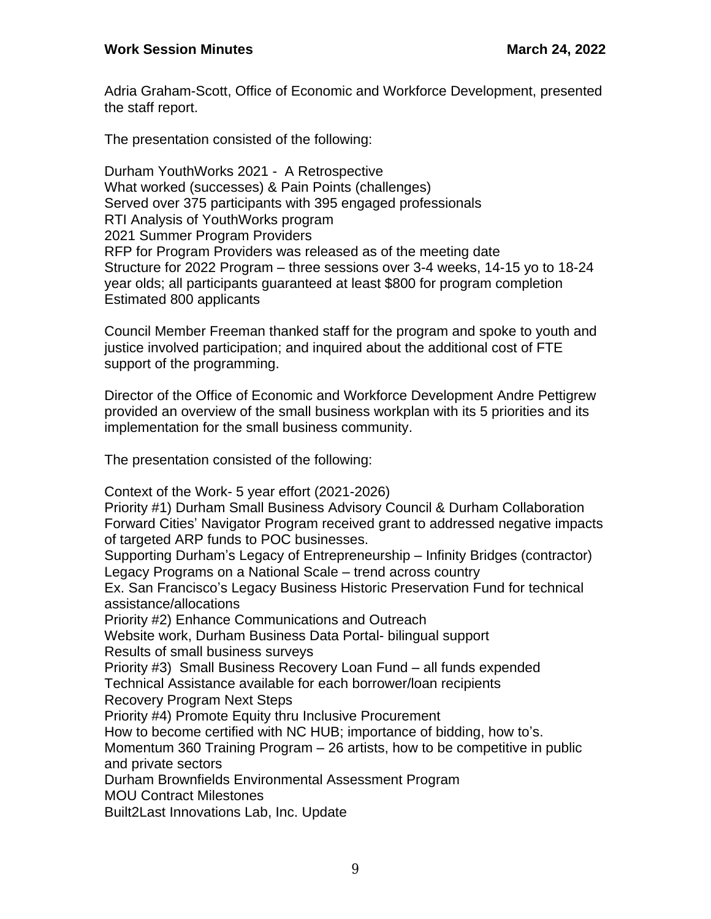Adria Graham-Scott, Office of Economic and Workforce Development, presented the staff report.

The presentation consisted of the following:

Durham YouthWorks 2021 - A Retrospective What worked (successes) & Pain Points (challenges) Served over 375 participants with 395 engaged professionals RTI Analysis of YouthWorks program 2021 Summer Program Providers RFP for Program Providers was released as of the meeting date Structure for 2022 Program – three sessions over 3-4 weeks, 14-15 yo to 18-24 year olds; all participants guaranteed at least \$800 for program completion Estimated 800 applicants

Council Member Freeman thanked staff for the program and spoke to youth and justice involved participation; and inquired about the additional cost of FTE support of the programming.

Director of the Office of Economic and Workforce Development Andre Pettigrew provided an overview of the small business workplan with its 5 priorities and its implementation for the small business community.

The presentation consisted of the following:

Context of the Work- 5 year effort (2021-2026)

Priority #1) Durham Small Business Advisory Council & Durham Collaboration Forward Cities' Navigator Program received grant to addressed negative impacts of targeted ARP funds to POC businesses.

Supporting Durham's Legacy of Entrepreneurship – Infinity Bridges (contractor) Legacy Programs on a National Scale – trend across country

Ex. San Francisco's Legacy Business Historic Preservation Fund for technical assistance/allocations

Priority #2) Enhance Communications and Outreach

Website work, Durham Business Data Portal- bilingual support

Results of small business surveys

Priority #3) Small Business Recovery Loan Fund – all funds expended

Technical Assistance available for each borrower/loan recipients

Recovery Program Next Steps

Priority #4) Promote Equity thru Inclusive Procurement

How to become certified with NC HUB; importance of bidding, how to's.

Momentum 360 Training Program – 26 artists, how to be competitive in public and private sectors

Durham Brownfields Environmental Assessment Program

MOU Contract Milestones

Built2Last Innovations Lab, Inc. Update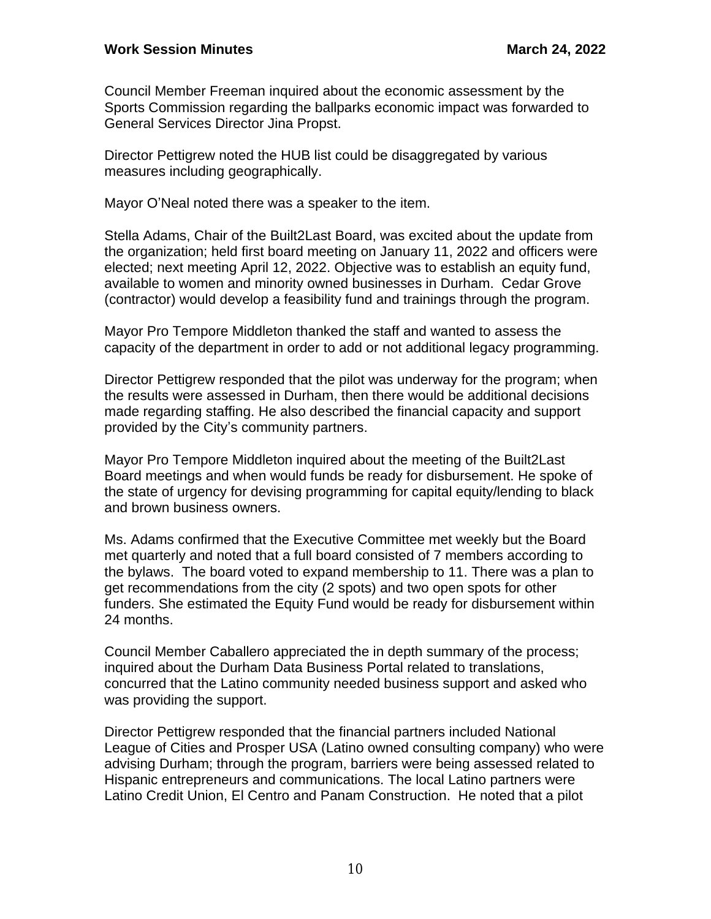Council Member Freeman inquired about the economic assessment by the Sports Commission regarding the ballparks economic impact was forwarded to General Services Director Jina Propst.

Director Pettigrew noted the HUB list could be disaggregated by various measures including geographically.

Mayor O'Neal noted there was a speaker to the item.

Stella Adams, Chair of the Built2Last Board, was excited about the update from the organization; held first board meeting on January 11, 2022 and officers were elected; next meeting April 12, 2022. Objective was to establish an equity fund, available to women and minority owned businesses in Durham. Cedar Grove (contractor) would develop a feasibility fund and trainings through the program.

Mayor Pro Tempore Middleton thanked the staff and wanted to assess the capacity of the department in order to add or not additional legacy programming.

Director Pettigrew responded that the pilot was underway for the program; when the results were assessed in Durham, then there would be additional decisions made regarding staffing. He also described the financial capacity and support provided by the City's community partners.

Mayor Pro Tempore Middleton inquired about the meeting of the Built2Last Board meetings and when would funds be ready for disbursement. He spoke of the state of urgency for devising programming for capital equity/lending to black and brown business owners.

Ms. Adams confirmed that the Executive Committee met weekly but the Board met quarterly and noted that a full board consisted of 7 members according to the bylaws. The board voted to expand membership to 11. There was a plan to get recommendations from the city (2 spots) and two open spots for other funders. She estimated the Equity Fund would be ready for disbursement within 24 months.

Council Member Caballero appreciated the in depth summary of the process; inquired about the Durham Data Business Portal related to translations, concurred that the Latino community needed business support and asked who was providing the support.

Director Pettigrew responded that the financial partners included National League of Cities and Prosper USA (Latino owned consulting company) who were advising Durham; through the program, barriers were being assessed related to Hispanic entrepreneurs and communications. The local Latino partners were Latino Credit Union, El Centro and Panam Construction. He noted that a pilot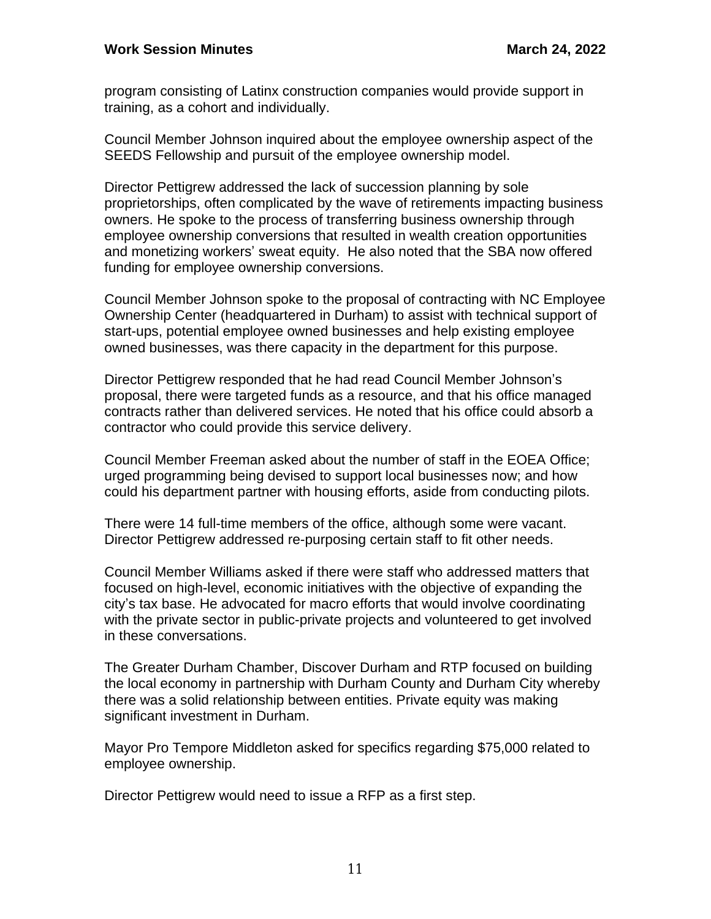program consisting of Latinx construction companies would provide support in training, as a cohort and individually.

Council Member Johnson inquired about the employee ownership aspect of the SEEDS Fellowship and pursuit of the employee ownership model.

Director Pettigrew addressed the lack of succession planning by sole proprietorships, often complicated by the wave of retirements impacting business owners. He spoke to the process of transferring business ownership through employee ownership conversions that resulted in wealth creation opportunities and monetizing workers' sweat equity. He also noted that the SBA now offered funding for employee ownership conversions.

Council Member Johnson spoke to the proposal of contracting with NC Employee Ownership Center (headquartered in Durham) to assist with technical support of start-ups, potential employee owned businesses and help existing employee owned businesses, was there capacity in the department for this purpose.

Director Pettigrew responded that he had read Council Member Johnson's proposal, there were targeted funds as a resource, and that his office managed contracts rather than delivered services. He noted that his office could absorb a contractor who could provide this service delivery.

Council Member Freeman asked about the number of staff in the EOEA Office; urged programming being devised to support local businesses now; and how could his department partner with housing efforts, aside from conducting pilots.

There were 14 full-time members of the office, although some were vacant. Director Pettigrew addressed re-purposing certain staff to fit other needs.

Council Member Williams asked if there were staff who addressed matters that focused on high-level, economic initiatives with the objective of expanding the city's tax base. He advocated for macro efforts that would involve coordinating with the private sector in public-private projects and volunteered to get involved in these conversations.

The Greater Durham Chamber, Discover Durham and RTP focused on building the local economy in partnership with Durham County and Durham City whereby there was a solid relationship between entities. Private equity was making significant investment in Durham.

Mayor Pro Tempore Middleton asked for specifics regarding \$75,000 related to employee ownership.

Director Pettigrew would need to issue a RFP as a first step.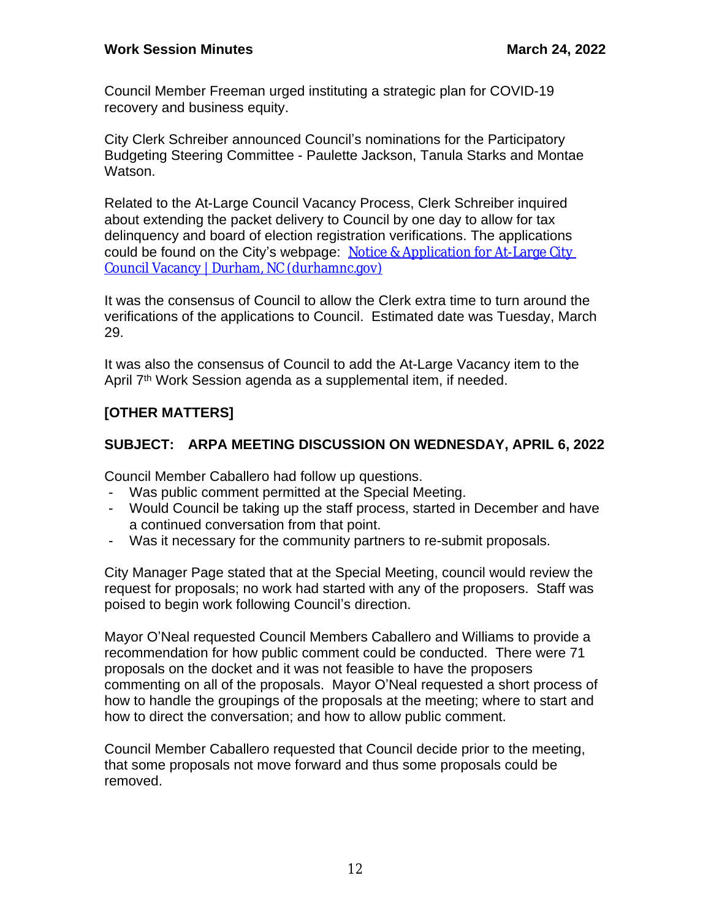Council Member Freeman urged instituting a strategic plan for COVID-19 recovery and business equity.

City Clerk Schreiber announced Council's nominations for the Participatory Budgeting Steering Committee - Paulette Jackson, Tanula Starks and Montae Watson.

Related to the At-Large Council Vacancy Process, Clerk Schreiber inquired about extending the packet delivery to Council by one day to allow for tax delinquency and board of election registration verifications. The applications could be found on the City's webpage: Notice  $&$  Application for At-Large City Council Vacancy | Durham, NC (durhamnc.gov)

It was the consensus of Council to allow the Clerk extra time to turn around the verifications of the applications to Council. Estimated date was Tuesday, March 29.

It was also the consensus of Council to add the At-Large Vacancy item to the April 7<sup>th</sup> Work Session agenda as a supplemental item, if needed.

# **[OTHER MATTERS]**

## **SUBJECT: ARPA MEETING DISCUSSION ON WEDNESDAY, APRIL 6, 2022**

Council Member Caballero had follow up questions.

- Was public comment permitted at the Special Meeting.
- Would Council be taking up the staff process, started in December and have a continued conversation from that point.
- Was it necessary for the community partners to re-submit proposals.

City Manager Page stated that at the Special Meeting, council would review the request for proposals; no work had started with any of the proposers. Staff was poised to begin work following Council's direction.

Mayor O'Neal requested Council Members Caballero and Williams to provide a recommendation for how public comment could be conducted. There were 71 proposals on the docket and it was not feasible to have the proposers commenting on all of the proposals. Mayor O'Neal requested a short process of how to handle the groupings of the proposals at the meeting; where to start and how to direct the conversation; and how to allow public comment.

Council Member Caballero requested that Council decide prior to the meeting, that some proposals not move forward and thus some proposals could be removed.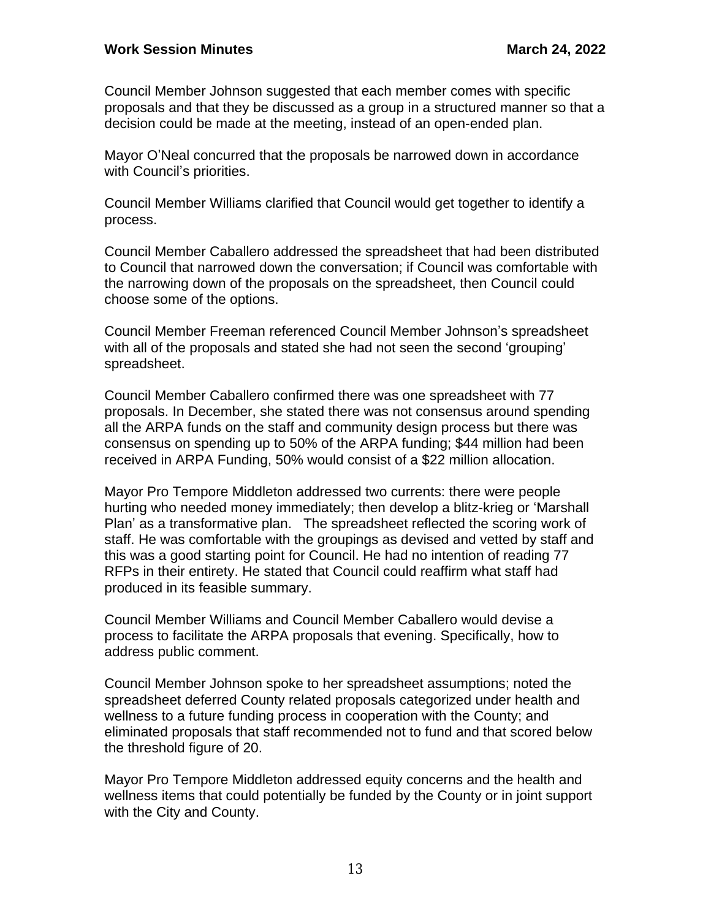Council Member Johnson suggested that each member comes with specific proposals and that they be discussed as a group in a structured manner so that a decision could be made at the meeting, instead of an open-ended plan.

Mayor O'Neal concurred that the proposals be narrowed down in accordance with Council's priorities.

Council Member Williams clarified that Council would get together to identify a process.

Council Member Caballero addressed the spreadsheet that had been distributed to Council that narrowed down the conversation; if Council was comfortable with the narrowing down of the proposals on the spreadsheet, then Council could choose some of the options.

Council Member Freeman referenced Council Member Johnson's spreadsheet with all of the proposals and stated she had not seen the second 'grouping' spreadsheet.

Council Member Caballero confirmed there was one spreadsheet with 77 proposals. In December, she stated there was not consensus around spending all the ARPA funds on the staff and community design process but there was consensus on spending up to 50% of the ARPA funding; \$44 million had been received in ARPA Funding, 50% would consist of a \$22 million allocation.

Mayor Pro Tempore Middleton addressed two currents: there were people hurting who needed money immediately; then develop a blitz-krieg or 'Marshall Plan' as a transformative plan. The spreadsheet reflected the scoring work of staff. He was comfortable with the groupings as devised and vetted by staff and this was a good starting point for Council. He had no intention of reading 77 RFPs in their entirety. He stated that Council could reaffirm what staff had produced in its feasible summary.

Council Member Williams and Council Member Caballero would devise a process to facilitate the ARPA proposals that evening. Specifically, how to address public comment.

Council Member Johnson spoke to her spreadsheet assumptions; noted the spreadsheet deferred County related proposals categorized under health and wellness to a future funding process in cooperation with the County; and eliminated proposals that staff recommended not to fund and that scored below the threshold figure of 20.

Mayor Pro Tempore Middleton addressed equity concerns and the health and wellness items that could potentially be funded by the County or in joint support with the City and County.